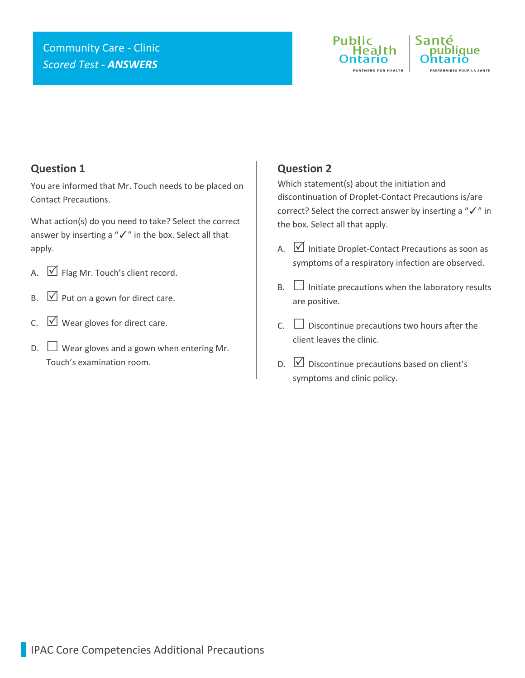## Community Care - Clinic *Scored Test - ANSWERS*





### **Question 1**

You are informed that Mr. Touch needs to be placed on Contact Precautions.

What action(s) do you need to take? Select the correct answer by inserting a "✓" in the box. Select all that apply.

- A.  $\Box$  Flag Mr. Touch's client record.
- $\mathsf{B}$ .  $\mathsf{V}$  Put on a gown for direct care.
- C.  $\Box$  Wear gloves for direct care.
- $D.$  Wear gloves and a gown when entering Mr. Touch's examination room.

### **Question 2**

Which statement(s) about the initiation and discontinuation of Droplet-Contact Precautions is/are correct? Select the correct answer by inserting a "✓" in the box. Select all that apply.

- A.  $\boxed{\vee}$  Initiate Droplet-Contact Precautions as soon as symptoms of a respiratory infection are observed.
- $B.$  Initiate precautions when the laboratory results are positive.
- $C.$   $\square$  Discontinue precautions two hours after the client leaves the clinic.
- D.  $\boxed{\vee}$  Discontinue precautions based on client's symptoms and clinic policy.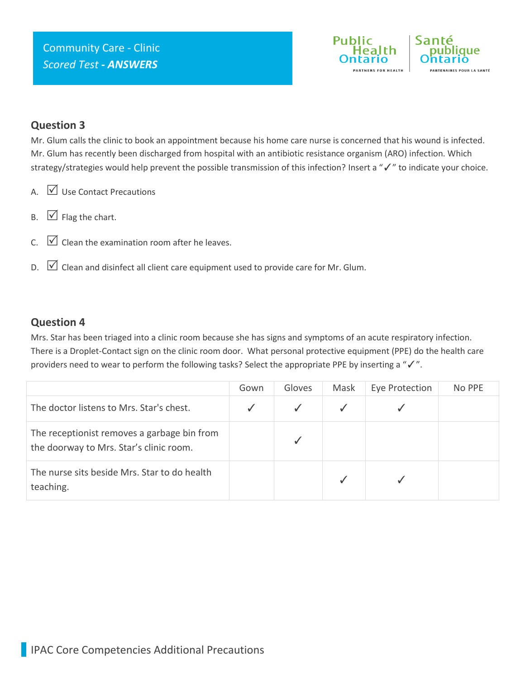

#### **Question 3**

Mr. Glum calls the clinic to book an appointment because his home care nurse is concerned that his wound is infected. Mr. Glum has recently been discharged from hospital with an antibiotic resistance organism (ARO) infection. Which strategy/strategies would help prevent the possible transmission of this infection? Insert a "✓" to indicate your choice.

- A.  $\bigvee$  Use Contact Precautions
- $B. \quad \boxed{\bigcirc}$  Flag the chart.
- $C.$   $\Box$  Clean the examination room after he leaves.
- D.  $\Box$  Clean and disinfect all client care equipment used to provide care for Mr. Glum.

#### **Question 4**

Mrs. Star has been triaged into a clinic room because she has signs and symptoms of an acute respiratory infection. There is a Droplet-Contact sign on the clinic room door. What personal protective equipment (PPE) do the health care providers need to wear to perform the following tasks? Select the appropriate PPE by inserting a "√".

|                                                                                        | Gown | Gloves | Mask | Eye Protection | No PPE |
|----------------------------------------------------------------------------------------|------|--------|------|----------------|--------|
| The doctor listens to Mrs. Star's chest.                                               |      |        |      |                |        |
| The receptionist removes a garbage bin from<br>the doorway to Mrs. Star's clinic room. |      |        |      |                |        |
| The nurse sits beside Mrs. Star to do health<br>teaching.                              |      |        |      |                |        |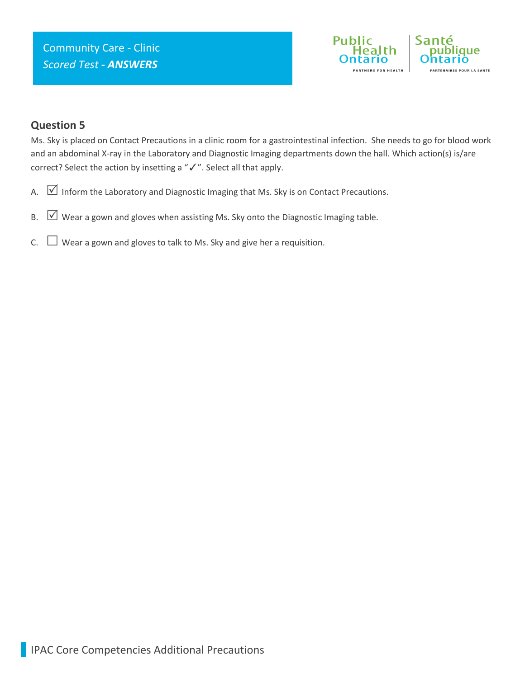

### **Question 5**

Ms. Sky is placed on Contact Precautions in a clinic room for a gastrointestinal infection. She needs to go for blood work and an abdominal X-ray in the Laboratory and Diagnostic Imaging departments down the hall. Which action(s) is/are correct? Select the action by insetting a "✓". Select all that apply.

- A.  $\boxed{\vee}$  Inform the Laboratory and Diagnostic Imaging that Ms. Sky is on Contact Precautions.
- B.  $\boxtimes$  Wear a gown and gloves when assisting Ms. Sky onto the Diagnostic Imaging table.
- C.  $\Box$  Wear a gown and gloves to talk to Ms. Sky and give her a requisition.